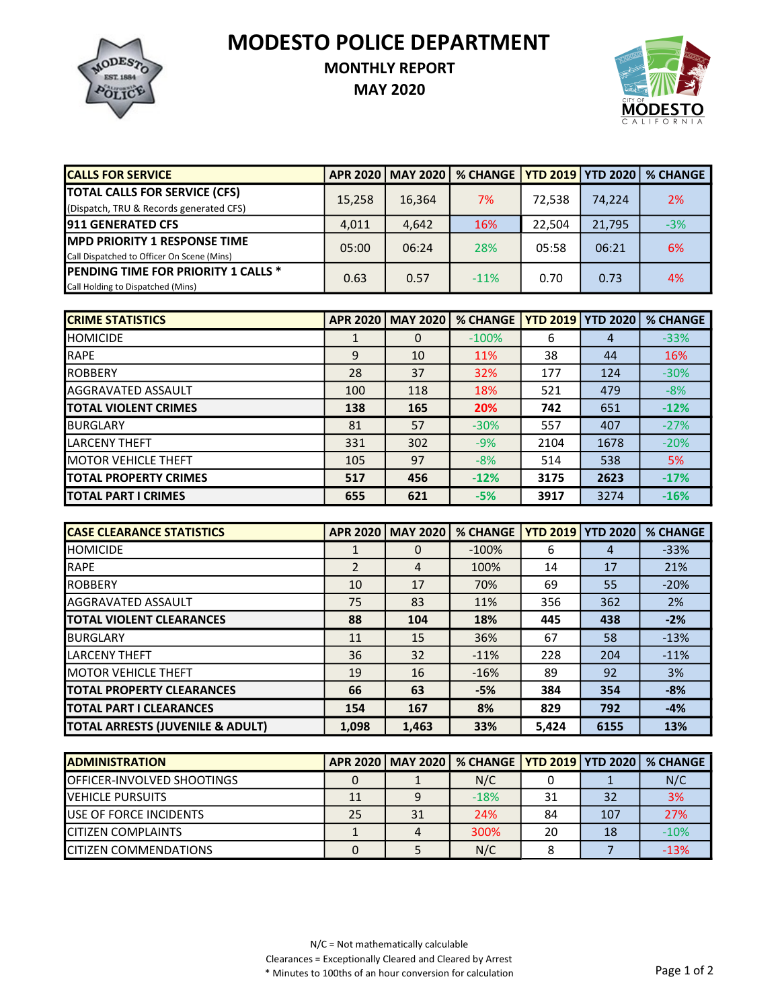MODESTO POLICE DEPARTMENT



## MONTHLY REPORT

MAY 2020



| <b>CALLS FOR SERVICE</b>                   | <b>APR 2020</b> | <b>MAY 2020</b> | % CHANGE   YTD 2019   YTD 2020 |        |        | <b>% CHANGE</b> |
|--------------------------------------------|-----------------|-----------------|--------------------------------|--------|--------|-----------------|
| <b>TOTAL CALLS FOR SERVICE (CFS)</b>       | 15,258          | 16,364          | 7%                             | 72.538 | 74.224 | 2%              |
| (Dispatch, TRU & Records generated CFS)    |                 |                 |                                |        |        |                 |
| <b>1911 GENERATED CFS</b>                  | 4,011           | 4.642           | 16%                            | 22.504 | 21,795 | $-3%$           |
| <b>IMPD PRIORITY 1 RESPONSE TIME</b>       | 05:00           | 06:24           | 28%                            | 05:58  | 06:21  | 6%              |
| Call Dispatched to Officer On Scene (Mins) |                 |                 |                                |        |        |                 |
| <b>PENDING TIME FOR PRIORITY 1 CALLS *</b> | 0.63            | 0.57            | $-11\%$                        | 0.70   | 0.73   | 4%              |
| Call Holding to Dispatched (Mins)          |                 |                 |                                |        |        |                 |

| <b>CRIME STATISTICS</b>       | <b>APR 2020</b> | <b>MAY 2020</b> | <b>% CHANGE</b> |      | <b>YTD 2019   YTD 2020</b> | <b>% CHANGE</b> |
|-------------------------------|-----------------|-----------------|-----------------|------|----------------------------|-----------------|
| <b>I</b> HOMICIDE             |                 | 0               | $-100%$         | 6    | 4                          | $-33%$          |
| <b>RAPE</b>                   | 9               | 10              | 11%             | 38   | 44                         | 16%             |
| <b>IROBBERY</b>               | 28              | 37              | 32%             | 177  | 124                        | $-30%$          |
| <b>AGGRAVATED ASSAULT</b>     | 100             | 118             | 18%             | 521  | 479                        | $-8%$           |
| <b>ITOTAL VIOLENT CRIMES</b>  | 138             | 165             | 20%             | 742  | 651                        | $-12%$          |
| IBURGLARY                     | 81              | 57              | $-30%$          | 557  | 407                        | $-27%$          |
| <b>LARCENY THEFT</b>          | 331             | 302             | $-9%$           | 2104 | 1678                       | $-20%$          |
| <b>IMOTOR VEHICLE THEFT</b>   | 105             | 97              | $-8%$           | 514  | 538                        | 5%              |
| <b>ITOTAL PROPERTY CRIMES</b> | 517             | 456             | $-12%$          | 3175 | 2623                       | $-17%$          |
| <b>ITOTAL PART I CRIMES</b>   | 655             | 621             | $-5%$           | 3917 | 3274                       | $-16%$          |

| <b>ICASE CLEARANCE STATISTICS</b> | <b>APR 2020</b> | <b>MAY 2020</b> | <b>% CHANGE</b> | <b>YTD 2019   YTD 2020</b> |      | <b>% CHANGE</b> |
|-----------------------------------|-----------------|-----------------|-----------------|----------------------------|------|-----------------|
| <b>I</b> HOMICIDE                 |                 | $\Omega$        | $-100%$         | 6                          | 4    | $-33%$          |
| <b>RAPE</b>                       | $\mathfrak{p}$  | $\overline{4}$  | 100%            | 14                         | 17   | 21%             |
| <b>IROBBERY</b>                   | 10              | 17              | 70%             | 69                         | 55   | $-20%$          |
| <b>AGGRAVATED ASSAULT</b>         | 75              | 83              | 11%             | 356                        | 362  | 2%              |
| <b>TOTAL VIOLENT CLEARANCES</b>   | 88              | 104             | 18%             | 445                        | 438  | $-2%$           |
| <b>I</b> BURGLARY                 | 11              | 15              | 36%             | 67                         | 58   | $-13%$          |
| <b>LARCENY THEFT</b>              | 36              | 32              | $-11%$          | 228                        | 204  | $-11%$          |
| <b>IMOTOR VEHICLE THEFT</b>       | 19              | 16              | $-16%$          | 89                         | 92   | 3%              |
| <b>ITOTAL PROPERTY CLEARANCES</b> | 66              | 63              | $-5%$           | 384                        | 354  | $-8%$           |
| <b>TOTAL PART I CLEARANCES</b>    | 154             | 167             | 8%              | 829                        | 792  | $-4%$           |
| TOTAL ARRESTS (JUVENILE & ADULT)  | 1,098           | 1,463           | 33%             | 5,424                      | 6155 | 13%             |

| <b>IADMINISTRATION</b>             |    |    | APR 2020   MAY 2020   % CHANGE   YTD 2019   YTD 2020   % CHANGE |    |     |        |
|------------------------------------|----|----|-----------------------------------------------------------------|----|-----|--------|
| <b>IOFFICER-INVOLVED SHOOTINGS</b> |    |    | N/C                                                             |    |     | N/C    |
| <b>IVEHICLE PURSUITS</b>           | 11 |    | $-18%$                                                          | 31 | 32  | 3%     |
| <b>IUSE OF FORCE INCIDENTS</b>     | 25 | 31 | 24%                                                             | 84 | 107 | 27%    |
| <b>ICITIZEN COMPLAINTS</b>         |    |    | 300%                                                            | 20 | 18  | $-10%$ |
| <b>ICITIZEN COMMENDATIONS</b>      |    |    | N/C                                                             |    |     | $-13%$ |